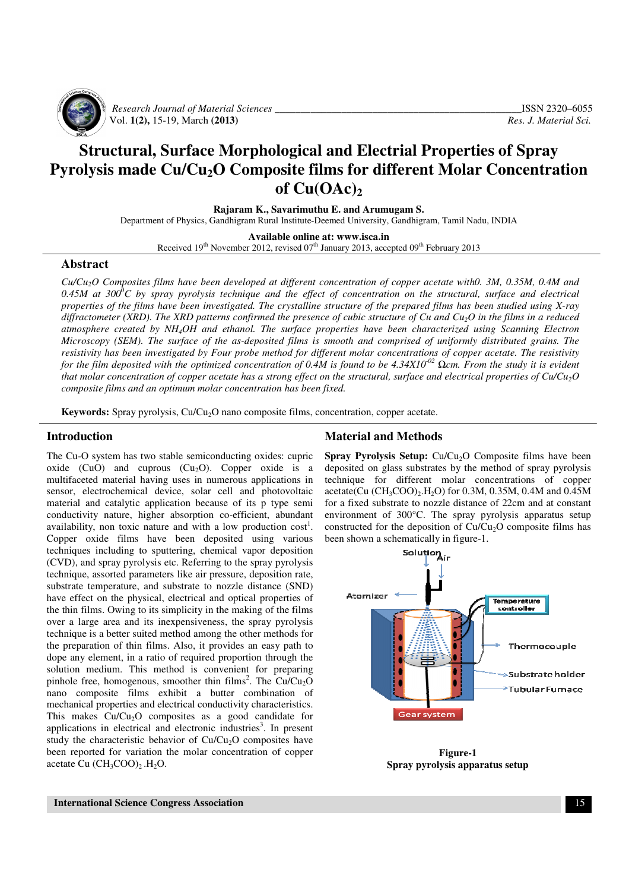

 *Research Journal of Material Sciences \_\_\_\_\_\_\_\_\_\_\_\_\_\_\_\_\_\_\_\_\_\_\_\_\_\_\_\_\_\_\_\_\_\_\_\_\_\_\_\_\_\_\_\_\_\_\_\_*ISSN 2320–6055 Vol. **1(2),** 15-19, March **(2013)** *Res. J. Material Sci.*

# **Structural, Surface Morphological and Electrial Properties of Spray Pyrolysis made Cu/Cu2O Composite films for different Molar Concentration** of  $Cu(OAc)$ <sup>2</sup>

**Rajaram K., Savarimuthu E. and Arumugam S.** 

Department of Physics, Gandhigram Rural Institute-Deemed University, Gandhigram, Tamil Nadu, INDIA

**Available online at: www.isca.in** 

Received  $19<sup>th</sup>$  November 2012, revised  $07<sup>th</sup>$  January 2013, accepted  $09<sup>th</sup>$  February 2013

#### **Abstract**

*Cu/Cu2O Composites films have been developed at different concentration of copper acetate with0. 3M, 0.35M, 0.4M and 0.45M at 300<sup>0</sup>C by spray pyrolysis technique and the effect of concentration on the structural, surface and electrical properties of the films have been investigated. The crystalline structure of the prepared films has been studied using X-ray diffractometer (XRD). The XRD patterns confirmed the presence of cubic structure of Cu and Cu2O in the films in a reduced atmosphere created by NH4OH and ethanol. The surface properties have been characterized using Scanning Electron Microscopy (SEM). The surface of the as-deposited films is smooth and comprised of uniformly distributed grains. The resistivity has been investigated by Four probe method for different molar concentrations of copper acetate. The resistivity for the film deposited with the optimized concentration of 0.4M is found to be 4.34X10-02* Ω*cm. From the study it is evident that molar concentration of copper acetate has a strong effect on the structural, surface and electrical properties of Cu/Cu2O composite films and an optimum molar concentration has been fixed.* 

**Keywords:** Spray pyrolysis, Cu/Cu<sub>2</sub>O nano composite films, concentration, copper acetate.

#### **Introduction**

The Cu-O system has two stable semiconducting oxides: cupric oxide (CuO) and cuprous (Cu<sub>2</sub>O). Copper oxide is a multifaceted material having uses in numerous applications in sensor, electrochemical device, solar cell and photovoltaic material and catalytic application because of its p type semi conductivity nature, higher absorption co-efficient, abundant availability, non toxic nature and with a low production  $cost<sup>1</sup>$ . Copper oxide films have been deposited using various techniques including to sputtering, chemical vapor deposition (CVD), and spray pyrolysis etc. Referring to the spray pyrolysis technique, assorted parameters like air pressure, deposition rate, substrate temperature, and substrate to nozzle distance (SND) have effect on the physical, electrical and optical properties of the thin films. Owing to its simplicity in the making of the films over a large area and its inexpensiveness, the spray pyrolysis technique is a better suited method among the other methods for the preparation of thin films. Also, it provides an easy path to dope any element, in a ratio of required proportion through the solution medium. This method is convenient for preparing pinhole free, homogenous, smoother thin films<sup>2</sup>. The  $Cu/Cu<sub>2</sub>O$ nano composite films exhibit a butter combination of mechanical properties and electrical conductivity characteristics. This makes  $Cu/Cu<sub>2</sub>O$  composites as a good candidate for applications in electrical and electronic industries 3 . In present study the characteristic behavior of  $Cu/Cu<sub>2</sub>O$  composites have been reported for variation the molar concentration of copper acetate Cu  $(CH_3COO)_2$ .  $H_2O$ .

### **Material and Methods**

**Spray Pyrolysis Setup:** Cu/Cu<sub>2</sub>O Composite films have been deposited on glass substrates by the method of spray pyrolysis technique for different molar concentrations of copper acetate(Cu (CH3COO)2.H2O) for 0.3M, 0.35M, 0.4M and 0.45M for a fixed substrate to nozzle distance of 22cm and at constant environment of 300°C. The spray pyrolysis apparatus setup constructed for the deposition of  $Cu/Cu<sub>2</sub>O$  composite films has been shown a schematically in figure-1.



**Figure-1 Spray pyrolysis apparatus setup**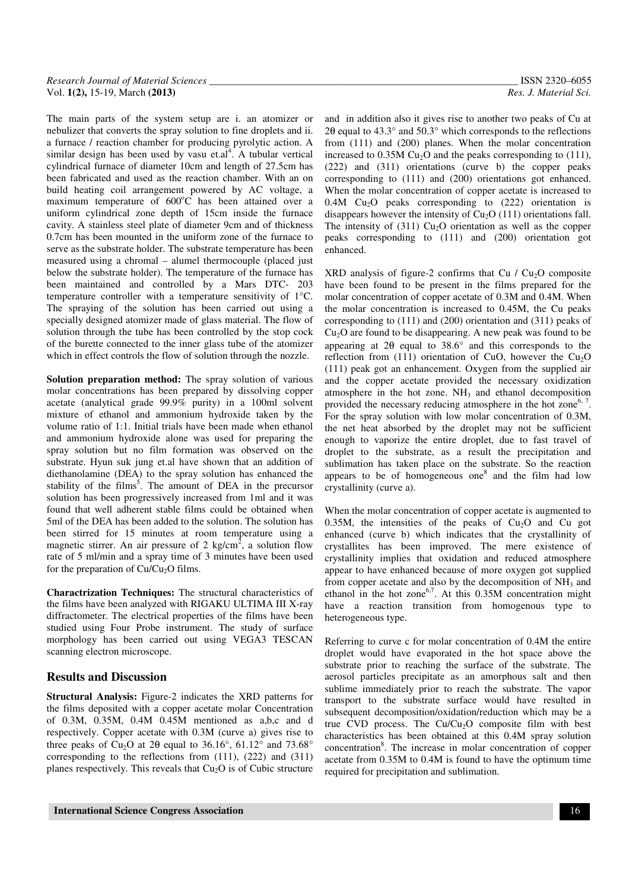| Research Journal of Material Sciences | ISSN 2320-6055        |
|---------------------------------------|-----------------------|
| Vol. 1(2), 15-19, March (2013)        | Res. J. Material Sci. |

The main parts of the system setup are i. an atomizer or nebulizer that converts the spray solution to fine droplets and ii. a furnace / reaction chamber for producing pyrolytic action. A similar design has been used by vasu et. $al<sup>4</sup>$ . A tubular vertical cylindrical furnace of diameter 10cm and length of 27.5cm has been fabricated and used as the reaction chamber. With an on build heating coil arrangement powered by AC voltage, a maximum temperature of  $600^{\circ}$ C has been attained over a uniform cylindrical zone depth of 15cm inside the furnace cavity. A stainless steel plate of diameter 9cm and of thickness 0.7cm has been mounted in the uniform zone of the furnace to serve as the substrate holder. The substrate temperature has been measured using a chromal – alumel thermocouple (placed just below the substrate holder). The temperature of the furnace has been maintained and controlled by a Mars DTC- 203 temperature controller with a temperature sensitivity of 1°C. The spraying of the solution has been carried out using a specially designed atomizer made of glass material. The flow of solution through the tube has been controlled by the stop cock of the burette connected to the inner glass tube of the atomizer which in effect controls the flow of solution through the nozzle.

**Solution preparation method:** The spray solution of various molar concentrations has been prepared by dissolving copper acetate (analytical grade 99.9% purity) in a 100ml solvent mixture of ethanol and ammonium hydroxide taken by the volume ratio of 1:1. Initial trials have been made when ethanol and ammonium hydroxide alone was used for preparing the spray solution but no film formation was observed on the substrate. Hyun suk jung et.al have shown that an addition of diethanolamine (DEA) to the spray solution has enhanced the stability of the films<sup>5</sup>. The amount of DEA in the precursor solution has been progressively increased from 1ml and it was found that well adherent stable films could be obtained when 5ml of the DEA has been added to the solution. The solution has been stirred for 15 minutes at room temperature using a magnetic stirrer. An air pressure of 2 kg/cm<sup>2</sup>, a solution flow rate of 5 ml/min and a spray time of 3 minutes have been used for the preparation of  $Cu/Cu<sub>2</sub>O$  films.

**Charactrization Techniques:** The structural characteristics of the films have been analyzed with RIGAKU ULTIMA III X-ray diffractometer. The electrical properties of the films have been studied using Four Probe instrument. The study of surface morphology has been carried out using VEGA3 TESCAN scanning electron microscope.

#### **Results and Discussion**

**Structural Analysis:** Figure-2 indicates the XRD patterns for the films deposited with a copper acetate molar Concentration of 0.3M, 0.35M, 0.4M 0.45M mentioned as a,b,c and d respectively. Copper acetate with 0.3M (curve a) gives rise to three peaks of Cu<sub>2</sub>O at 2 $\theta$  equal to 36.16°, 61.12° and 73.68° corresponding to the reflections from (111), (222) and (311) planes respectively. This reveals that  $Cu<sub>2</sub>O$  is of Cubic structure and in addition also it gives rise to another two peaks of Cu at 2θ equal to 43.3° and 50.3° which corresponds to the reflections from (111) and (200) planes. When the molar concentration increased to  $0.35M$  Cu<sub>2</sub>O and the peaks corresponding to  $(111)$ , (222) and (311) orientations (curve b) the copper peaks corresponding to (111) and (200) orientations got enhanced. When the molar concentration of copper acetate is increased to  $0.4M$  Cu<sub>2</sub>O peaks corresponding to  $(222)$  orientation is disappears however the intensity of  $Cu<sub>2</sub>O$  (111) orientations fall. The intensity of  $(311)$  Cu<sub>2</sub>O orientation as well as the copper peaks corresponding to (111) and (200) orientation got enhanced.

XRD analysis of figure-2 confirms that Cu  $/$  Cu<sub>2</sub>O composite have been found to be present in the films prepared for the molar concentration of copper acetate of 0.3M and 0.4M. When the molar concentration is increased to 0.45M, the Cu peaks corresponding to (111) and (200) orientation and (311) peaks of  $Cu<sub>2</sub>O$  are found to be disappearing. A new peak was found to be appearing at 2θ equal to 38.6° and this corresponds to the reflection from  $(111)$  orientation of CuO, however the Cu<sub>2</sub>O (111) peak got an enhancement. Oxygen from the supplied air and the copper acetate provided the necessary oxidization atmosphere in the hot zone.  $NH<sub>3</sub>$  and ethanol decomposition provided the necessary reducing atmosphere in the hot zone<sup>6, 7</sup>. For the spray solution with low molar concentration of 0.3M, the net heat absorbed by the droplet may not be sufficient enough to vaporize the entire droplet, due to fast travel of droplet to the substrate, as a result the precipitation and sublimation has taken place on the substrate. So the reaction appears to be of homogeneous one $8$  and the film had low crystallinity (curve a).

When the molar concentration of copper acetate is augmented to 0.35M, the intensities of the peaks of  $Cu<sub>2</sub>O$  and Cu got enhanced (curve b) which indicates that the crystallinity of crystallites has been improved. The mere existence of crystallinity implies that oxidation and reduced atmosphere appear to have enhanced because of more oxygen got supplied from copper acetate and also by the decomposition of  $NH<sub>3</sub>$  and ethanol in the hot zone<sup>6,7</sup>. At this  $0.35M$  concentration might have a reaction transition from homogenous type to heterogeneous type.

Referring to curve c for molar concentration of 0.4M the entire droplet would have evaporated in the hot space above the substrate prior to reaching the surface of the substrate. The aerosol particles precipitate as an amorphous salt and then sublime immediately prior to reach the substrate. The vapor transport to the substrate surface would have resulted in subsequent decomposition/oxidation/reduction which may be a true CVD process. The  $Cu/Cu<sub>2</sub>O$  composite film with best characteristics has been obtained at this 0.4M spray solution concentration<sup>8</sup>. The increase in molar concentration of copper acetate from 0.35M to 0.4M is found to have the optimum time required for precipitation and sublimation.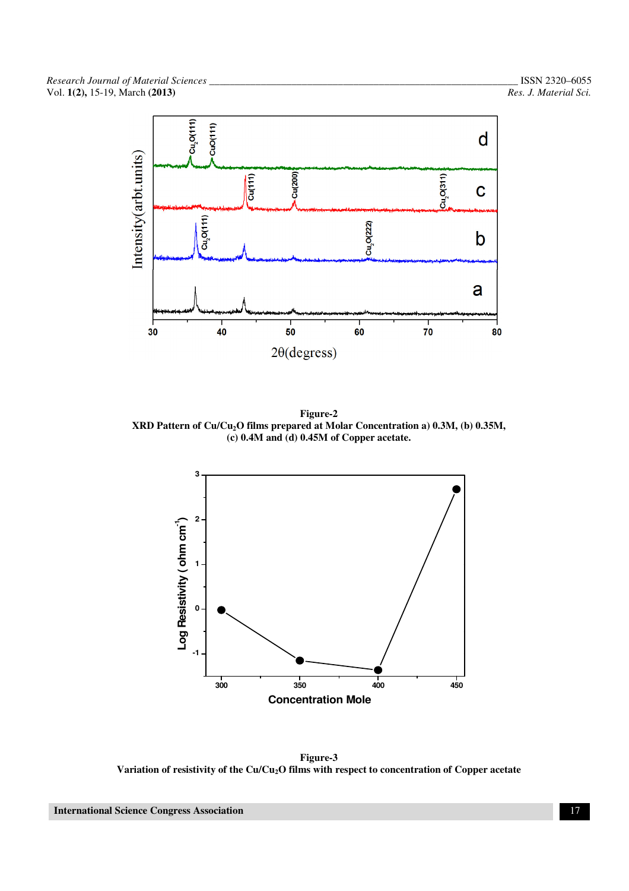

**Figure-2 XRD Pattern of Cu/Cu2O films prepared at Molar Concentration a) 0.3M, (b) 0.35M, (c) 0.4M and (d) 0.45M of Copper acetate.** 



**Figure-3 Variation of resistivity of the Cu/Cu2O films with respect to concentration of Copper acetate**

 **International Science Congress Association** 17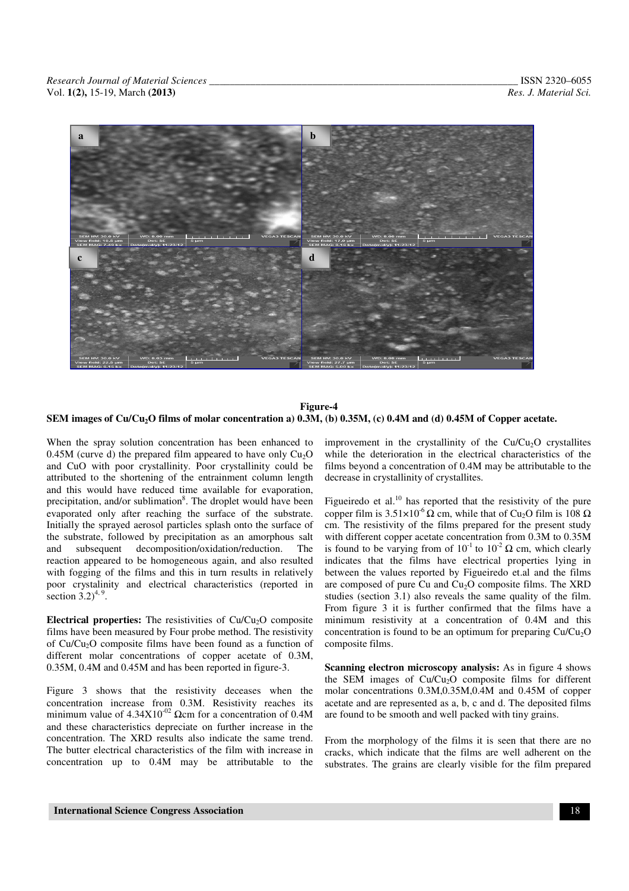

#### **Figure-4 SEM images of Cu/Cu2O films of molar concentration a) 0.3M, (b) 0.35M, (c) 0.4M and (d) 0.45M of Copper acetate.**

When the spray solution concentration has been enhanced to 0.45M (curve d) the prepared film appeared to have only  $Cu<sub>2</sub>O$ and CuO with poor crystallinity. Poor crystallinity could be attributed to the shortening of the entrainment column length and this would have reduced time available for evaporation, precipitation, and/or sublimation<sup>8</sup>. The droplet would have been evaporated only after reaching the surface of the substrate. Initially the sprayed aerosol particles splash onto the surface of the substrate, followed by precipitation as an amorphous salt and subsequent decomposition/oxidation/reduction. The reaction appeared to be homogeneous again, and also resulted with fogging of the films and this in turn results in relatively poor crystalinity and electrical characteristics (reported in section  $3.2)^{4,9}$ .

**Electrical properties:** The resistivities of Cu/Cu<sub>2</sub>O composite films have been measured by Four probe method. The resistivity of  $Cu/Cu<sub>2</sub>O$  composite films have been found as a function of different molar concentrations of copper acetate of 0.3M, 0.35M, 0.4M and 0.45M and has been reported in figure-3.

Figure 3 shows that the resistivity deceases when the concentration increase from 0.3M. Resistivity reaches its minimum value of  $4.34X10^{-02}$  Ωcm for a concentration of 0.4M and these characteristics depreciate on further increase in the concentration. The XRD results also indicate the same trend. The butter electrical characteristics of the film with increase in concentration up to 0.4M may be attributable to the improvement in the crystallinity of the  $Cu/Cu<sub>2</sub>O$  crystallites while the deterioration in the electrical characteristics of the films beyond a concentration of 0.4M may be attributable to the decrease in crystallinity of crystallites.

Figueiredo et al. $^{10}$  has reported that the resistivity of the pure copper film is  $3.51 \times 10^{-6} \Omega$  cm, while that of Cu<sub>2</sub>O film is 108  $\Omega$ cm. The resistivity of the films prepared for the present study with different copper acetate concentration from 0.3M to 0.35M is found to be varying from of  $10^{-1}$  to  $10^{-2}$  Q cm, which clearly indicates that the films have electrical properties lying in between the values reported by Figueiredo et.al and the films are composed of pure Cu and  $Cu<sub>2</sub>O$  composite films. The XRD studies (section 3.1) also reveals the same quality of the film. From figure 3 it is further confirmed that the films have a minimum resistivity at a concentration of 0.4M and this concentration is found to be an optimum for preparing  $Cu/Cu<sub>2</sub>O$ composite films.

**Scanning electron microscopy analysis:** As in figure 4 shows the SEM images of  $Cu/Cu<sub>2</sub>O$  composite films for different molar concentrations 0.3M,0.35M,0.4M and 0.45M of copper acetate and are represented as a, b, c and d. The deposited films are found to be smooth and well packed with tiny grains.

From the morphology of the films it is seen that there are no cracks, which indicate that the films are well adherent on the substrates. The grains are clearly visible for the film prepared